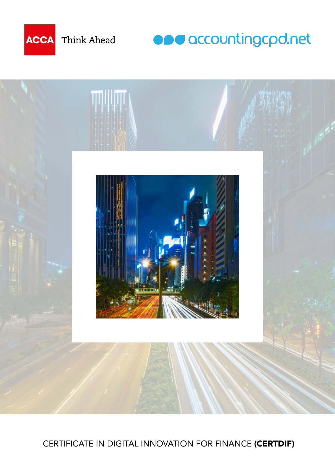

Think Ahead

**ODU** accountingcpd.net



CERTIFICATE IN DIGITAL INNOVATION FOR FINANCE (CERTDIF)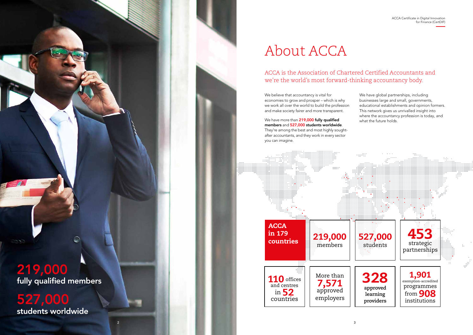## About ACCA

#### ACCA is the Association of Chartered Certified Accountants and we're the world's most forward-thinking accountancy body.

We have more than 219,000 fully qualified members and 527,000 students worldwide. They're among the best and most highly soughtafter accountants, and they work in every sector you can imagine.

We believe that accountancy is vital for economies to grow and prosper – which is why we work all over the world to build the profession and make society fairer and more transparent.

We have global partnerships, including businesses large and small, governments, educational establishments and opinion formers. This network gives us unrivalled insight into where the accountancy profession is today, and what the future holds.





students worldwide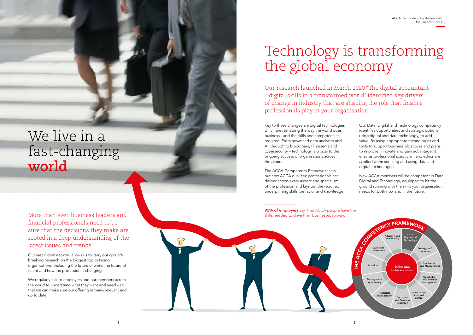4

ACCA Certificate in Digital Innovation

More than ever, business leaders and financial professionals need to be sure that the decisions they make are rooted in a deep understanding of the latest issues and trends.

Our vast global network allows us to carry out groundbreaking research on the biggest topics facing organisations; including the future of work, the future of talent and how the profession is changing.

We regularly talk to employers and our members across the world to understand what they want and need – so that we can make sure our offering remains relevant and up to date.

# Technology is transforming the global economy

Our research launched in March 2020 "The digital accountant – digital skills in a transformed world" identified key drivers of change in industry that are shaping the role that finance professionals play in your organisation.

92% of employers say that ACCA people have the skills needed to drive their businesses forward.

Key to these changes are digital technologies which are reshaping the way the world does business - and the skills and competencies required. From advanced data analytics and AI, through to blockchain, IT systems and cybersecurity – technology is critical to the ongoing success of organisations across the planet.

The ACCA Competency Framework sets out how ACCA qualified professionals can deliver across every aspect and specialism of the profession and lays out the required underpinning skills, behavior and knowledge.

- Our Data, Digital and Technology competency identifies opportunities and strategic options, using digital and data technology, to add value. By using appropriate technologies and tools to support business objectives and plans to improve, innovate and gain advantage; it ensures professional scepticism and ethics are applied when sourcing and using data and digital technologies.
- New ACCA members will be competent in Data, Digital and Technology, equipped to hit the ground running with the skills your organisation needs for both now and in the future.

### We live in a fast-changing **world**

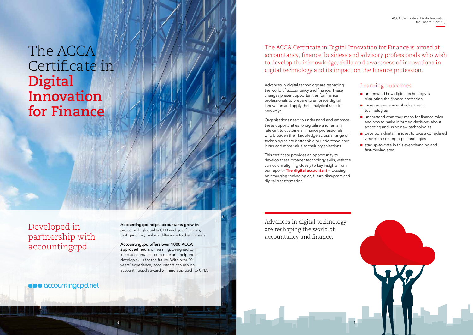

The ACCA Certificate in Digital Innovation for Finance is aimed at accountancy, finance, business and advisory professionals who wish to develop their knowledge, skills and awareness of innovations in digital technology and its impact on the finance profession.

Advances in digital technology are reshaping the world of accountancy and finance. These changes present opportunities for finance professionals to prepare to embrace digital innovation and apply their analytical skills in new ways.

Organisations need to understand and embrace these opportunities to digitalise and remain relevant to customers. Finance professionals who broaden their knowledge across a range of technologies are better able to understand how it can add more value to their organisations.

- understand how digital technology is disrupting the finance profession
- increase awareness of advances in technologies
- understand what they mean for finance roles and how to make informed decisions about adopting and using new technologies
- develop a digital mindset to take a considered view of the emerging technologies
- stay up-to-date in this ever-changing and fast-moving area.

This certificate provides an opportunity to develop these broader technology skills, with the curriculum aligning closely to key insights from our report - The digital accountant - focusing on emerging technologies, future disruptors and digital transformation.

#### Learning outcomes

### The ACCA Certificate in **Digital Innovation for Finance**

Advances in digital technology are reshaping the world of accountancy and finance.

**ODU** accountingcpd.net

Accountingcpd helps accountants grow by providing high quality CPD and qualifications, that genuinely make a difference to their careers.

Accountingcpd offers over 1000 ACCA approved hours of learning, designed to keep accountants up to date and help them develop skills for the future. With over 20 years' experience, accountants can rely on accountingcpd's award winning approach to CPD.

Developed in partnership with accountingcpd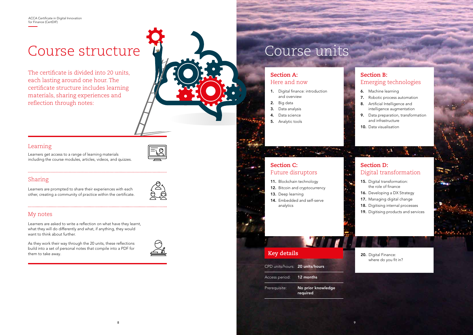for Finance (CertDIF)

### Course structure

The certificate is divided into 20 units each lasting around one hour. The certificate structure includes learning materials, sharing experiences and reflection through notes:

#### Learning



Learners get access to a range of learning materials including the course modules, articles, videos, and quizzes.

### Sharing

Learners are prompted to share their experiences with each other, creating a community of practice within the certificate.



- 11. Blockchain technology
- 12. Bitcoin and cryptocurrency
- 13. Deep learning
- 14. Embedded and self-serve analytics

#### My notes

- 1. Digital finance: introduction and overview
- 2. Big data
- 3. Data analysis
- 4. Data science
- 5. Analytic tools

- 15. Digital transformation: the role of finance
- 16. Developing a DX Strategy
- 17. Managing digital change
- 18. Digitising internal processes
- 19. Digitising products and services

Learners are asked to write a reflection on what have they learnt, what they will do differently and what, if anything, they would want to think about further.

- 6. Machine learning
- 7. Robotic process automation
- 8. Artificial Intelligence and intelligence augmentation
- 9. Data preparation, transformation and infrastructure
- 10. Data visualisation

As they work their way through the 20 units, these reflections build into a set of personal notes that compile into a PDF for them to take away.



Prerequisite: No prior knowledge required

8 assumption to the contract of the contract of the contract of the contract of the contract of the contract o

#### **Section C:** Future disruptors

#### **Section A:** Here and now

#### **Section D:** Digital transformation

 $\Lambda$ 

#### **Section B:** Emerging technologies

ACCA CERTIFICATE IN DIGITAL IN

### Course units

#### **Key details**

CPD units/hours: 20 units/hours

Access period: 12 months

20. Digital Finance: where do you fit in?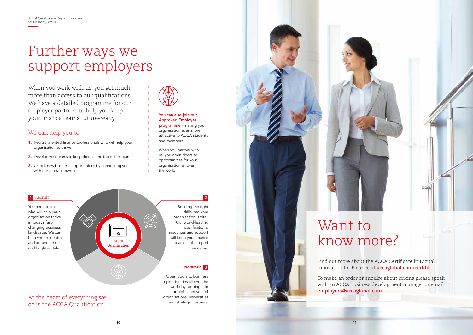world by tapping into our global network of organisations, universities and strategic partners.

## Further ways we support employers

When you work with us, you get much more than access to our qualifications. We have a detailed programme for our employer partners to help you keep your finance teams future-ready.

#### We can help you to:



- 1. Recruit talented finance professionals who will help your organisation to thrive
- 2. Develop your teams to keep them at the top of their game
- 3. Unlock new business opportunities by connecting you with our global network



You need teams who will help your organisation thrive in today's fastchanging business landscape. We can help you to identify and attract the best and brightest talent.

At the heart of everything we do is the ACCA Qualification.

#### You can also join our Approved Employer

programme - making your organisation even more attractive to ACCA students and members.

When you partner with us, you open doors to opportunities for your organisation all over the world.

#### 1 Recruit



Find out more about the ACCA Certificate in Digital Innovation for Finance at **accaglobal.com/certdif**

To make an order or enquire about pricing please speak with an ACCA business development manager or email **employers@accaglobal.com**